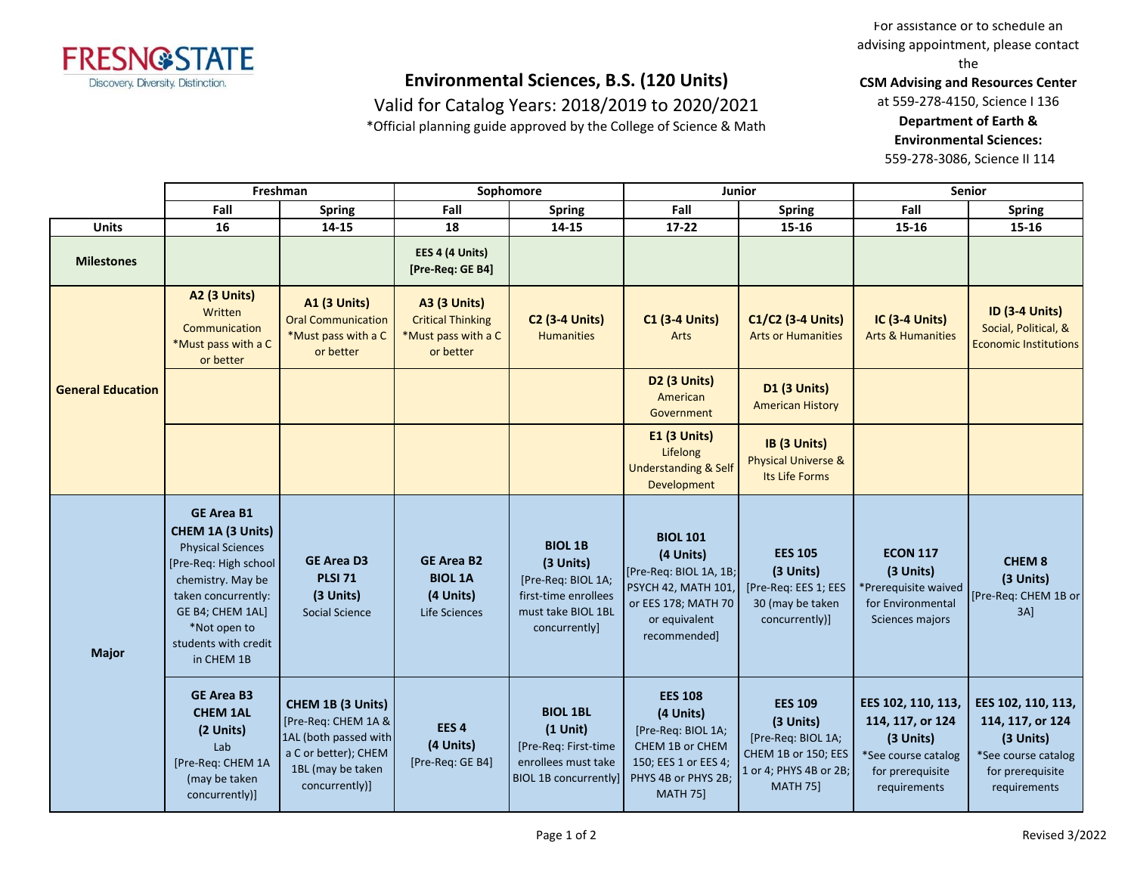

Valid for Catalog Years: 2018/2019 to 2020/2021

\*Official planning guide approved by the College of Science & Math

For assistance or to schedule an advising appointment, please contact the

**CSM Advising and Resources Center**

at 559-278-4150, Science I 136 **Department of Earth & Environmental Sciences:**

559-278-3086, Science II 114

|                          | Freshman                                                                                                                                                                                                          |                                                                                                                                  | Sophomore                                                                           |                                                                                                                  | <b>Junior</b>                                                                                                                                |                                                                                                                       | <b>Senior</b>                                                                                                  |                                                                                                                |
|--------------------------|-------------------------------------------------------------------------------------------------------------------------------------------------------------------------------------------------------------------|----------------------------------------------------------------------------------------------------------------------------------|-------------------------------------------------------------------------------------|------------------------------------------------------------------------------------------------------------------|----------------------------------------------------------------------------------------------------------------------------------------------|-----------------------------------------------------------------------------------------------------------------------|----------------------------------------------------------------------------------------------------------------|----------------------------------------------------------------------------------------------------------------|
|                          | Fall                                                                                                                                                                                                              | <b>Spring</b>                                                                                                                    | Fall                                                                                | <b>Spring</b>                                                                                                    | Fall                                                                                                                                         | <b>Spring</b>                                                                                                         | Fall                                                                                                           | <b>Spring</b>                                                                                                  |
| <b>Units</b>             | 16                                                                                                                                                                                                                | 14-15                                                                                                                            | 18                                                                                  | $14 - 15$                                                                                                        | $17 - 22$                                                                                                                                    | 15-16                                                                                                                 | 15-16                                                                                                          | 15-16                                                                                                          |
| <b>Milestones</b>        |                                                                                                                                                                                                                   |                                                                                                                                  | EES 4 (4 Units)<br>[Pre-Req: GE B4]                                                 |                                                                                                                  |                                                                                                                                              |                                                                                                                       |                                                                                                                |                                                                                                                |
| <b>General Education</b> | <b>A2 (3 Units)</b><br>Written<br>Communication<br>*Must pass with a C<br>or better                                                                                                                               | <b>A1 (3 Units)</b><br><b>Oral Communication</b><br>*Must pass with a C<br>or better                                             | <b>A3 (3 Units)</b><br><b>Critical Thinking</b><br>*Must pass with a C<br>or better | <b>C2 (3-4 Units)</b><br><b>Humanities</b>                                                                       | <b>C1 (3-4 Units)</b><br>Arts                                                                                                                | C1/C2 (3-4 Units)<br><b>Arts or Humanities</b>                                                                        | <b>IC (3-4 Units)</b><br><b>Arts &amp; Humanities</b>                                                          | <b>ID (3-4 Units)</b><br>Social, Political, &<br><b>Economic Institutions</b>                                  |
|                          |                                                                                                                                                                                                                   |                                                                                                                                  |                                                                                     |                                                                                                                  | D2 (3 Units)<br>American<br>Government                                                                                                       | D1 (3 Units)<br><b>American History</b>                                                                               |                                                                                                                |                                                                                                                |
|                          |                                                                                                                                                                                                                   |                                                                                                                                  |                                                                                     |                                                                                                                  | E1 (3 Units)<br>Lifelong<br><b>Understanding &amp; Self</b><br>Development                                                                   | IB (3 Units)<br><b>Physical Universe &amp;</b><br>Its Life Forms                                                      |                                                                                                                |                                                                                                                |
| <b>Major</b>             | <b>GE Area B1</b><br>CHEM 1A (3 Units)<br><b>Physical Sciences</b><br>[Pre-Req: High school<br>chemistry. May be<br>taken concurrently:<br>GE B4; CHEM 1AL]<br>*Not open to<br>students with credit<br>in CHEM 1B | <b>GE Area D3</b><br><b>PLSI 71</b><br>(3 Units)<br>Social Science                                                               | <b>GE Area B2</b><br><b>BIOL 1A</b><br>(4 Units)<br>Life Sciences                   | <b>BIOL 1B</b><br>(3 Units)<br>[Pre-Req: BIOL 1A;<br>first-time enrollees<br>must take BIOL 1BL<br>concurrently] | <b>BIOL 101</b><br>(4 Units)<br>[Pre-Req: BIOL 1A, 1B;<br><b>PSYCH 42, MATH 101,</b><br>or EES 178; MATH 70<br>or equivalent<br>recommended] | <b>EES 105</b><br>(3 Units)<br>[Pre-Req: EES 1; EES<br>30 (may be taken<br>concurrently)]                             | <b>ECON 117</b><br>(3 Units)<br>*Prerequisite waived<br>for Environmental<br>Sciences majors                   | CHEM <sub>8</sub><br>(3 Units)<br>[Pre-Req: CHEM 1B or<br>$3A$ ]                                               |
|                          | <b>GE Area B3</b><br><b>CHEM 1AL</b><br>(2 Units)<br>Lab<br>[Pre-Req: CHEM 1A<br>(may be taken<br>concurrently)]                                                                                                  | CHEM 1B (3 Units)<br>[Pre-Req: CHEM 1A &<br>1AL (both passed with<br>a C or better); CHEM<br>1BL (may be taken<br>concurrently)] | EES <sub>4</sub><br>(4 Units)<br>[Pre-Req: GE B4]                                   | <b>BIOL 1BL</b><br>$(1$ Unit)<br>[Pre-Req: First-time<br>enrollees must take<br><b>BIOL 1B concurrently]</b>     | <b>EES 108</b><br>(4 Units)<br>[Pre-Req: BIOL 1A;<br>CHEM 1B or CHEM<br>150; EES 1 or EES 4;<br>PHYS 4B or PHYS 2B;<br><b>MATH 75]</b>       | <b>EES 109</b><br>(3 Units)<br>[Pre-Req: BIOL 1A;<br>CHEM 1B or 150; EES<br>1 or 4; PHYS 4B or 2B;<br><b>MATH 75]</b> | EES 102, 110, 113,<br>114, 117, or 124<br>(3 Units)<br>*See course catalog<br>for prerequisite<br>requirements | EES 102, 110, 113,<br>114, 117, or 124<br>(3 Units)<br>*See course catalog<br>for prerequisite<br>requirements |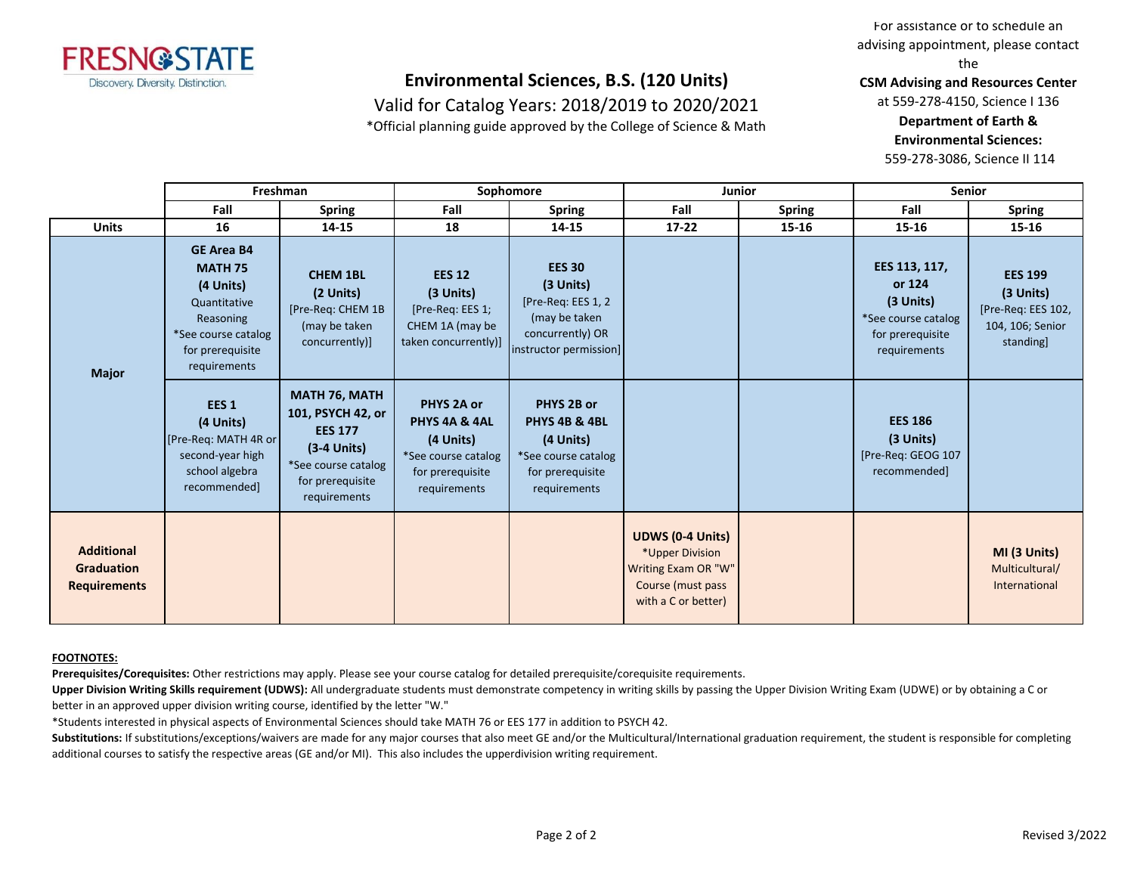

Valid for Catalog Years: 2018/2019 to 2020/2021

\*Official planning guide approved by the College of Science & Math

For assistance or to schedule an advising appointment, please contact the

**CSM Advising and Resources Center**

at 559-278-4150, Science I 136 **Department of Earth & Environmental Sciences:**

559-278-3086, Science II 114

|                                                               | Freshman                                                                                                                                 |                                                                                                                                  | Sophomore                                                                                           |                                                                                                                 | Junior                                                                                                        |        | <b>Senior</b>                                                                                     |                                                                                   |
|---------------------------------------------------------------|------------------------------------------------------------------------------------------------------------------------------------------|----------------------------------------------------------------------------------------------------------------------------------|-----------------------------------------------------------------------------------------------------|-----------------------------------------------------------------------------------------------------------------|---------------------------------------------------------------------------------------------------------------|--------|---------------------------------------------------------------------------------------------------|-----------------------------------------------------------------------------------|
|                                                               | Fall                                                                                                                                     | <b>Spring</b>                                                                                                                    | Fall                                                                                                | <b>Spring</b>                                                                                                   | Fall                                                                                                          | Spring | Fall                                                                                              | <b>Spring</b>                                                                     |
| <b>Units</b>                                                  | 16                                                                                                                                       | 14-15                                                                                                                            | 18                                                                                                  | 14-15                                                                                                           | $17 - 22$                                                                                                     | 15-16  | $15 - 16$                                                                                         | 15-16                                                                             |
| <b>Major</b>                                                  | <b>GE Area B4</b><br><b>MATH 75</b><br>(4 Units)<br>Quantitative<br>Reasoning<br>*See course catalog<br>for prerequisite<br>requirements | <b>CHEM 1BL</b><br>(2 Units)<br>[Pre-Req: CHEM 1B<br>(may be taken<br>concurrently)]                                             | <b>EES 12</b><br>(3 Units)<br>[Pre-Req: EES 1;<br>CHEM 1A (may be<br>taken concurrently)]           | <b>EES 30</b><br>(3 Units)<br>[Pre-Req: EES 1, 2<br>(may be taken<br>concurrently) OR<br>instructor permission] |                                                                                                               |        | EES 113, 117,<br>or 124<br>$(3$ Units)<br>*See course catalog<br>for prerequisite<br>requirements | <b>EES 199</b><br>(3 Units)<br>[Pre-Req: EES 102,<br>104, 106; Senior<br>standing |
|                                                               | EES <sub>1</sub><br>(4 Units)<br>[Pre-Req: MATH 4R or<br>second-year high<br>school algebra<br>recommended]                              | MATH 76, MATH<br>101, PSYCH 42, or<br><b>EES 177</b><br>$(3-4$ Units)<br>*See course catalog<br>for prerequisite<br>requirements | PHYS 2A or<br>PHYS 4A & 4AL<br>(4 Units)<br>*See course catalog<br>for prerequisite<br>requirements | PHYS 2B or<br>PHYS 4B & 4BL<br>(4 Units)<br>*See course catalog<br>for prerequisite<br>requirements             |                                                                                                               |        | <b>EES 186</b><br>(3 Units)<br>[Pre-Req: GEOG 107<br>recommended]                                 |                                                                                   |
| <b>Additional</b><br><b>Graduation</b><br><b>Requirements</b> |                                                                                                                                          |                                                                                                                                  |                                                                                                     |                                                                                                                 | <b>UDWS (0-4 Units)</b><br>*Upper Division<br>Writing Exam OR "W"<br>Course (must pass<br>with a C or better) |        |                                                                                                   | MI (3 Units)<br>Multicultural/<br>International                                   |

#### **FOOTNOTES:**

**Prerequisites/Corequisites:** Other restrictions may apply. Please see your course catalog for detailed prerequisite/corequisite requirements.

Upper Division Writing Skills requirement (UDWS): All undergraduate students must demonstrate competency in writing skills by passing the Upper Division Writing Exam (UDWE) or by obtaining a C or better in an approved upper division writing course, identified by the letter "W."

\*Students interested in physical aspects of Environmental Sciences should take MATH 76 or EES 177 in addition to PSYCH 42.

Substitutions: If substitutions/exceptions/waivers are made for any major courses that also meet GE and/or the Multicultural/International graduation requirement, the student is responsible for completing additional courses to satisfy the respective areas (GE and/or MI). This also includes the upperdivision writing requirement.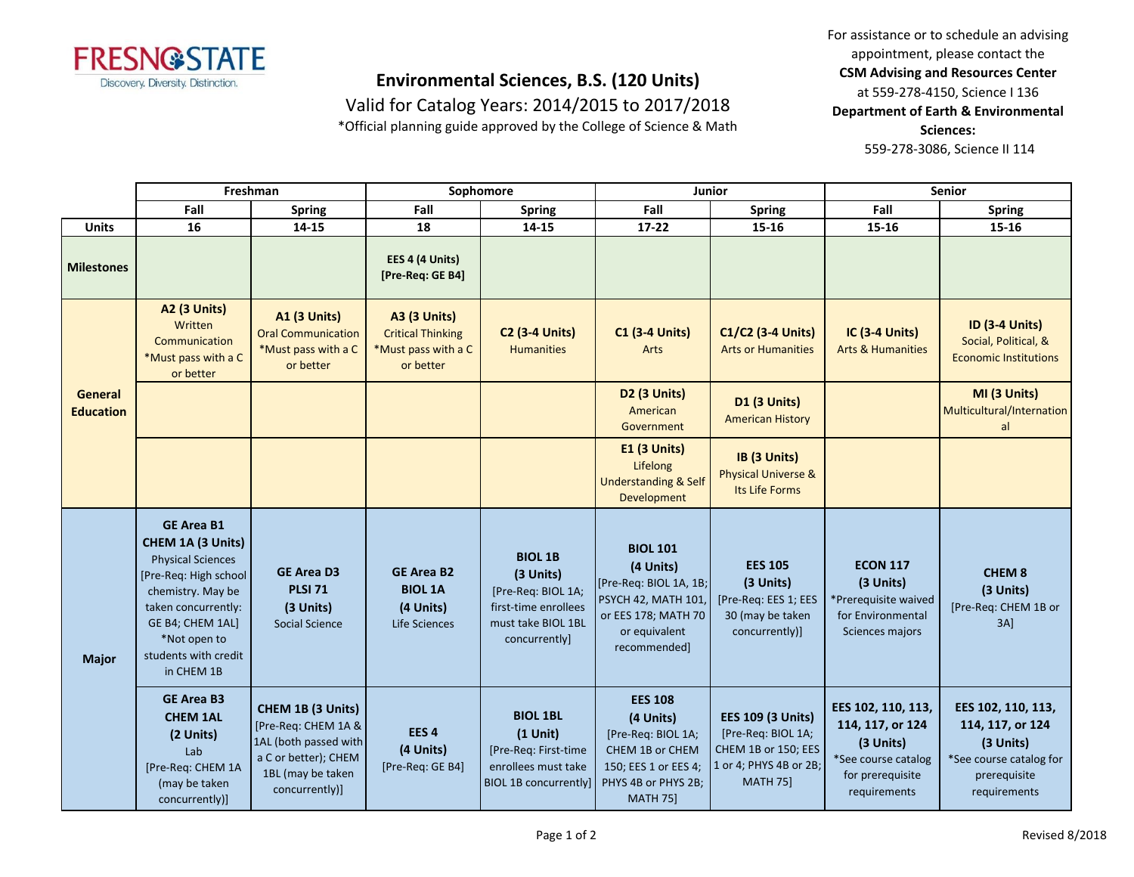

Valid for Catalog Years: 2014/2015 to 2017/2018 \*Official planning guide approved by the College of Science & Math For assistance or to schedule an advising appointment, please contact the **CSM Advising and Resources Center** at 559-278-4150, Science I 136 **Department of Earth & Environmental Sciences:** 559-278-3086, Science II 114

|                             | Freshman                                                                                                                                                                                                          |                                                                                                                                  | Sophomore                                                                           |                                                                                                                  | Junior                                                                                                                                 |                                                                                                                    | Senior                                                                                                         |                                                                                                                |
|-----------------------------|-------------------------------------------------------------------------------------------------------------------------------------------------------------------------------------------------------------------|----------------------------------------------------------------------------------------------------------------------------------|-------------------------------------------------------------------------------------|------------------------------------------------------------------------------------------------------------------|----------------------------------------------------------------------------------------------------------------------------------------|--------------------------------------------------------------------------------------------------------------------|----------------------------------------------------------------------------------------------------------------|----------------------------------------------------------------------------------------------------------------|
|                             | Fall                                                                                                                                                                                                              | <b>Spring</b>                                                                                                                    | Fall                                                                                | <b>Spring</b>                                                                                                    | Fall                                                                                                                                   | <b>Spring</b>                                                                                                      | Fall                                                                                                           | <b>Spring</b>                                                                                                  |
| <b>Units</b>                | 16                                                                                                                                                                                                                | 14-15                                                                                                                            | 18                                                                                  | 14-15                                                                                                            | 17-22                                                                                                                                  | 15-16                                                                                                              | 15-16                                                                                                          | 15-16                                                                                                          |
| <b>Milestones</b>           |                                                                                                                                                                                                                   |                                                                                                                                  | EES 4 (4 Units)<br>[Pre-Req: GE B4]                                                 |                                                                                                                  |                                                                                                                                        |                                                                                                                    |                                                                                                                |                                                                                                                |
|                             | <b>A2 (3 Units)</b><br>Written<br>Communication<br>*Must pass with a C<br>or better                                                                                                                               | <b>A1 (3 Units)</b><br><b>Oral Communication</b><br>*Must pass with a C<br>or better                                             | <b>A3 (3 Units)</b><br><b>Critical Thinking</b><br>*Must pass with a C<br>or better | <b>C2 (3-4 Units)</b><br><b>Humanities</b>                                                                       | <b>C1 (3-4 Units)</b><br>Arts                                                                                                          | C1/C2 (3-4 Units)<br><b>Arts or Humanities</b>                                                                     | <b>IC (3-4 Units)</b><br><b>Arts &amp; Humanities</b>                                                          | <b>ID (3-4 Units)</b><br>Social, Political, &<br><b>Economic Institutions</b>                                  |
| General<br><b>Education</b> |                                                                                                                                                                                                                   |                                                                                                                                  |                                                                                     |                                                                                                                  | D2 (3 Units)<br>American<br>Government                                                                                                 | D1 (3 Units)<br><b>American History</b>                                                                            |                                                                                                                | MI (3 Units)<br>Multicultural/Internation<br>al                                                                |
|                             |                                                                                                                                                                                                                   |                                                                                                                                  |                                                                                     |                                                                                                                  | E1 (3 Units)<br>Lifelong<br><b>Understanding &amp; Self</b><br>Development                                                             | IB (3 Units)<br><b>Physical Universe &amp;</b><br>Its Life Forms                                                   |                                                                                                                |                                                                                                                |
| <b>Major</b>                | <b>GE Area B1</b><br>CHEM 1A (3 Units)<br><b>Physical Sciences</b><br>[Pre-Req: High school<br>chemistry. May be<br>taken concurrently:<br>GE B4; CHEM 1AL]<br>*Not open to<br>students with credit<br>in CHEM 1B | <b>GE Area D3</b><br><b>PLSI 71</b><br>(3 Units)<br><b>Social Science</b>                                                        | <b>GE Area B2</b><br><b>BIOL 1A</b><br>(4 Units)<br>Life Sciences                   | <b>BIOL 1B</b><br>(3 Units)<br>[Pre-Req: BIOL 1A;<br>first-time enrollees<br>must take BIOL 1BL<br>concurrently] | <b>BIOL 101</b><br>(4 Units)<br>[Pre-Req: BIOL 1A, 1B;<br>PSYCH 42, MATH 101,<br>or EES 178; MATH 70<br>or equivalent<br>recommended]  | <b>EES 105</b><br>(3 Units)<br>[Pre-Req: EES 1; EES<br>30 (may be taken<br>concurrently)]                          | <b>ECON 117</b><br>(3 Units)<br>*Prerequisite waived<br>for Environmental<br>Sciences majors                   | <b>CHEM 8</b><br>(3 Units)<br>[Pre-Req: CHEM 1B or<br>3AI                                                      |
|                             | <b>GE Area B3</b><br><b>CHEM 1AL</b><br>(2 Units)<br>Lab<br>[Pre-Req: CHEM 1A<br>(may be taken<br>concurrently)]                                                                                                  | CHEM 1B (3 Units)<br>[Pre-Req: CHEM 1A &<br>1AL (both passed with<br>a C or better); CHEM<br>1BL (may be taken<br>concurrently)] | EES <sub>4</sub><br>(4 Units)<br>[Pre-Req: GE B4]                                   | <b>BIOL 1BL</b><br>$(1$ Unit)<br>[Pre-Req: First-time<br>enrollees must take<br><b>BIOL 1B concurrently]</b>     | <b>EES 108</b><br>(4 Units)<br>[Pre-Req: BIOL 1A;<br>CHEM 1B or CHEM<br>150; EES 1 or EES 4;<br>PHYS 4B or PHYS 2B;<br><b>MATH 75]</b> | <b>EES 109 (3 Units)</b><br>[Pre-Req: BIOL 1A;<br>CHEM 1B or 150; EES<br>1 or 4; PHYS 4B or 2B;<br><b>MATH 75]</b> | EES 102, 110, 113,<br>114, 117, or 124<br>(3 Units)<br>*See course catalog<br>for prerequisite<br>requirements | EES 102, 110, 113,<br>114, 117, or 124<br>(3 Units)<br>*See course catalog for<br>prerequisite<br>requirements |